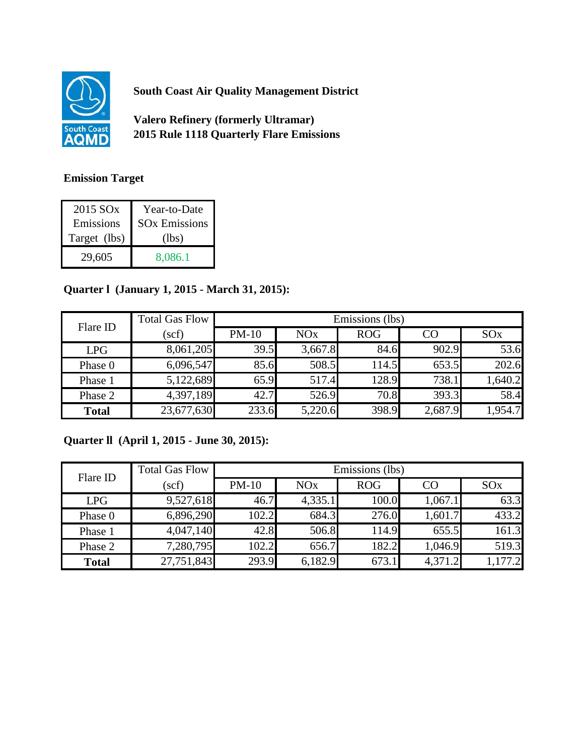

**South Coast Air Quality Management District**

**Valero Refinery (formerly Ultramar) 2015 Rule 1118 Quarterly Flare Emissions**

## **Emission Target**

| 2015 SO <sub>x</sub> | Year-to-Date                    |
|----------------------|---------------------------------|
| Emissions            | <b>SO<sub>x</sub></b> Emissions |
| Target (lbs)         | (lbs)                           |
| 29,605               | 8,086.1                         |

## **Quarter l (January 1, 2015 - March 31, 2015):**

| Flare ID     | <b>Total Gas Flow</b> | Emissions (lbs) |         |            |         |                 |
|--------------|-----------------------|-----------------|---------|------------|---------|-----------------|
|              | (scf)                 | $PM-10$         | NOx     | <b>ROG</b> | CO      | SO <sub>x</sub> |
| <b>LPG</b>   | 8,061,205             | 39.5            | 3,667.8 | 84.6       | 902.9   | 53.6            |
| Phase 0      | 6,096,547             | 85.6            | 508.5   | 114.5      | 653.5   | 202.6           |
| Phase 1      | 5,122,689             | 65.9            | 517.4   | 128.9      | 738.1   | 1,640.2         |
| Phase 2      | 4,397,189             | 42.7            | 526.9   | 70.8       | 393.3   | 58.4            |
| <b>Total</b> | 23,677,630            | 233.6           | 5,220.6 | 398.9      | 2,687.9 | 1,954.7         |

## **Quarter ll (April 1, 2015 - June 30, 2015):**

| Flare ID     | <b>Total Gas Flow</b> | Emissions (lbs) |                       |            |         |         |  |
|--------------|-----------------------|-----------------|-----------------------|------------|---------|---------|--|
|              | (scf)                 | $PM-10$         | <b>NO<sub>x</sub></b> | <b>ROG</b> | CO      | SOx     |  |
| <b>LPG</b>   | 9,527,618             | 46.7            | 4,335.1               | 100.0      | 1,067.1 | 63.3    |  |
| Phase 0      | 6,896,290             | 102.2           | 684.3                 | 276.0      | 1,601.7 | 433.2   |  |
| Phase 1      | 4,047,140             | 42.8            | 506.8                 | 114.9      | 655.5   | 161.3   |  |
| Phase 2      | 7,280,795             | 102.2           | 656.7                 | 182.2      | 1,046.9 | 519.3   |  |
| <b>Total</b> | 27,751,843            | 293.9           | 6,182.9               | 673.1      | 4,371.2 | 1,177.2 |  |